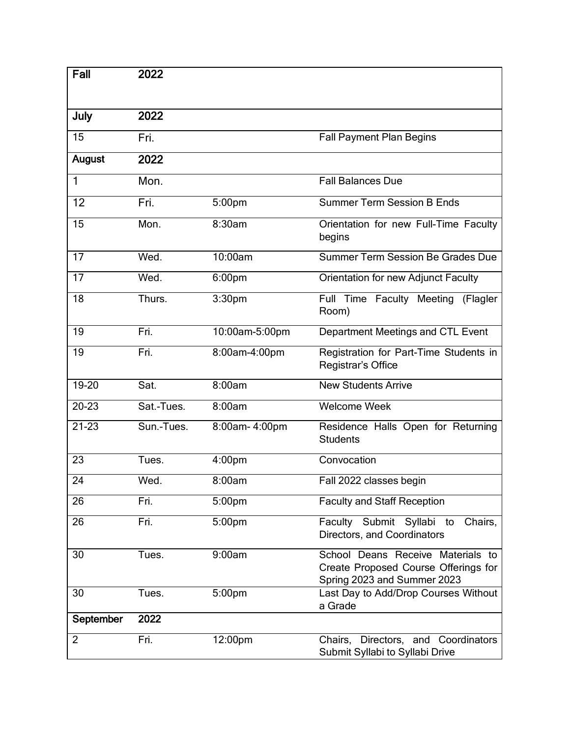| Fall           | 2022       |                |                                                                                                          |
|----------------|------------|----------------|----------------------------------------------------------------------------------------------------------|
|                |            |                |                                                                                                          |
|                |            |                |                                                                                                          |
| July           | 2022       |                |                                                                                                          |
| 15             | Fri.       |                | <b>Fall Payment Plan Begins</b>                                                                          |
| <b>August</b>  | 2022       |                |                                                                                                          |
| 1              | Mon.       |                | <b>Fall Balances Due</b>                                                                                 |
| 12             | Fri.       | 5:00pm         | <b>Summer Term Session B Ends</b>                                                                        |
| 15             | Mon.       | 8:30am         | Orientation for new Full-Time Faculty<br>begins                                                          |
| 17             | Wed.       | 10:00am        | Summer Term Session Be Grades Due                                                                        |
| 17             | Wed.       | 6:00pm         | Orientation for new Adjunct Faculty                                                                      |
| 18             | Thurs.     | 3:30pm         | Full Time Faculty Meeting<br>(Flagler<br>Room)                                                           |
| 19             | Fri.       | 10:00am-5:00pm | Department Meetings and CTL Event                                                                        |
| 19             | Fri.       | 8:00am-4:00pm  | Registration for Part-Time Students in<br>Registrar's Office                                             |
| 19-20          | Sat.       | 8:00am         | <b>New Students Arrive</b>                                                                               |
| $20 - 23$      | Sat.-Tues. | 8:00am         | <b>Welcome Week</b>                                                                                      |
| $21 - 23$      | Sun.-Tues. | 8:00am-4:00pm  | Residence Halls Open for Returning<br><b>Students</b>                                                    |
| 23             | Tues.      | 4:00pm         | Convocation                                                                                              |
| 24             | Wed.       | 8:00am         | Fall 2022 classes begin                                                                                  |
| 26             | Fri.       | 5:00pm         | <b>Faculty and Staff Reception</b>                                                                       |
| 26             | Fri.       | 5:00pm         | Faculty Submit Syllabi to<br>Chairs,<br>Directors, and Coordinators                                      |
| 30             | Tues.      | 9:00am         | School Deans Receive Materials to<br>Create Proposed Course Offerings for<br>Spring 2023 and Summer 2023 |
| 30             | Tues.      | 5:00pm         | Last Day to Add/Drop Courses Without<br>a Grade                                                          |
| September      | 2022       |                |                                                                                                          |
| $\overline{2}$ | Fri.       | 12:00pm        | Chairs, Directors, and Coordinators<br>Submit Syllabi to Syllabi Drive                                   |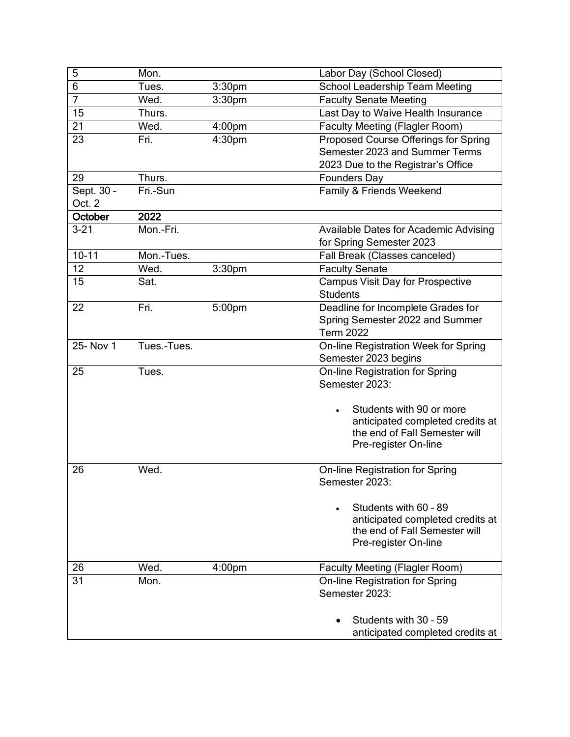| 5                    | Mon.        |                    | Labor Day (School Closed)                                                                                                                                                  |
|----------------------|-------------|--------------------|----------------------------------------------------------------------------------------------------------------------------------------------------------------------------|
| 6                    | Tues.       | 3:30 <sub>pm</sub> | <b>School Leadership Team Meeting</b>                                                                                                                                      |
| $\overline{7}$       | Wed.        | 3:30pm             | <b>Faculty Senate Meeting</b>                                                                                                                                              |
| 15                   | Thurs.      |                    | Last Day to Waive Health Insurance                                                                                                                                         |
| 21                   | Wed.        | 4:00 <sub>pm</sub> | <b>Faculty Meeting (Flagler Room)</b>                                                                                                                                      |
| 23                   | Fri.        | 4:30pm             | Proposed Course Offerings for Spring<br>Semester 2023 and Summer Terms<br>2023 Due to the Registrar's Office                                                               |
| 29                   | Thurs.      |                    | <b>Founders Day</b>                                                                                                                                                        |
| Sept. 30 -<br>Oct. 2 | Fri.-Sun    |                    | Family & Friends Weekend                                                                                                                                                   |
| October              | 2022        |                    |                                                                                                                                                                            |
| $3 - 21$             | Mon.-Fri.   |                    | Available Dates for Academic Advising<br>for Spring Semester 2023                                                                                                          |
| $10 - 11$            | Mon.-Tues.  |                    | Fall Break (Classes canceled)                                                                                                                                              |
| 12                   | Wed.        | 3:30 <sub>pm</sub> | <b>Faculty Senate</b>                                                                                                                                                      |
| 15                   | Sat.        |                    | <b>Campus Visit Day for Prospective</b><br><b>Students</b>                                                                                                                 |
| 22                   | Fri.        | 5:00pm             | Deadline for Incomplete Grades for<br>Spring Semester 2022 and Summer<br><b>Term 2022</b>                                                                                  |
| 25- Nov 1            | Tues.-Tues. |                    | On-line Registration Week for Spring<br>Semester 2023 begins                                                                                                               |
| 25                   | Tues.       |                    | On-line Registration for Spring<br>Semester 2023:<br>Students with 90 or more<br>anticipated completed credits at<br>the end of Fall Semester will<br>Pre-register On-line |
| 26                   | Wed.        |                    | On-line Registration for Spring<br>Semester 2023:<br>Students with 60 - 89<br>$\bullet$<br>anticipated completed credits at<br>the end of Fall Semester will               |
|                      |             |                    | Pre-register On-line                                                                                                                                                       |
| 26                   | Wed.        | 4:00 <sub>pm</sub> | <b>Faculty Meeting (Flagler Room)</b>                                                                                                                                      |
| 31                   | Mon.        |                    | On-line Registration for Spring<br>Semester 2023:                                                                                                                          |
|                      |             |                    | Students with 30 - 59<br>$\bullet$<br>anticipated completed credits at                                                                                                     |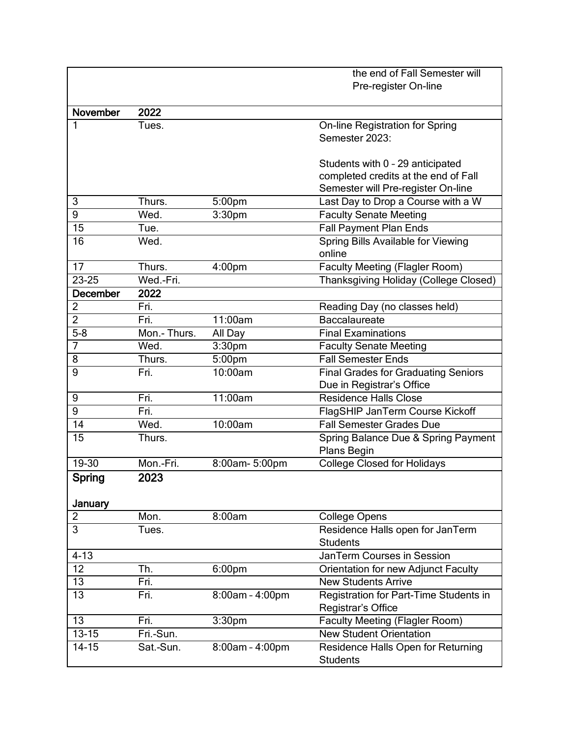|                 |              |                    | the end of Fall Semester will              |
|-----------------|--------------|--------------------|--------------------------------------------|
|                 |              |                    | Pre-register On-line                       |
|                 |              |                    |                                            |
| November        | 2022         |                    |                                            |
| 1               | Tues.        |                    | <b>On-line Registration for Spring</b>     |
|                 |              |                    | Semester 2023:                             |
|                 |              |                    |                                            |
|                 |              |                    | Students with 0 - 29 anticipated           |
|                 |              |                    | completed credits at the end of Fall       |
|                 |              |                    | Semester will Pre-register On-line         |
| 3               | Thurs.       | 5:00 <sub>pm</sub> | Last Day to Drop a Course with a W         |
| 9               | Wed.         | 3:30pm             | <b>Faculty Senate Meeting</b>              |
| 15              | Tue.         |                    | <b>Fall Payment Plan Ends</b>              |
| 16              | Wed.         |                    | Spring Bills Available for Viewing         |
|                 |              |                    | online                                     |
| 17              | Thurs.       | 4:00 <sub>pm</sub> | <b>Faculty Meeting (Flagler Room)</b>      |
| 23-25           | Wed.-Fri.    |                    | Thanksgiving Holiday (College Closed)      |
| <b>December</b> | 2022         |                    |                                            |
| $\overline{2}$  | Fri.         |                    | Reading Day (no classes held)              |
| $\overline{2}$  | Fri.         | 11:00am            | <b>Baccalaureate</b>                       |
| $5-8$           | Mon.- Thurs. | All Day            | <b>Final Examinations</b>                  |
| 7               | Wed.         | 3:30 <sub>pm</sub> | <b>Faculty Senate Meeting</b>              |
| 8               | Thurs.       | 5:00pm             | <b>Fall Semester Ends</b>                  |
| 9               | Fri.         | 10:00am            | <b>Final Grades for Graduating Seniors</b> |
|                 |              |                    | Due in Registrar's Office                  |
| 9               | Fri.         | 11:00am            | <b>Residence Halls Close</b>               |
| 9               | Fri.         |                    | FlagSHIP JanTerm Course Kickoff            |
| 14              | Wed.         | 10:00am            | <b>Fall Semester Grades Due</b>            |
| 15              | Thurs.       |                    | Spring Balance Due & Spring Payment        |
|                 |              |                    | Plans Begin                                |
| 19-30           | Mon.-Fri.    | 8:00am-5:00pm      | <b>College Closed for Holidays</b>         |
| Spring          | 2023         |                    |                                            |
|                 |              |                    |                                            |
| January         |              |                    |                                            |
| $\overline{2}$  | Mon.         | 8:00am             | <b>College Opens</b>                       |
| 3               | Tues.        |                    | Residence Halls open for JanTerm           |
|                 |              |                    | <b>Students</b>                            |
| $4 - 13$        |              |                    | JanTerm Courses in Session                 |
| 12              | Th.          | 6:00 <sub>pm</sub> | <b>Orientation for new Adjunct Faculty</b> |
| 13              | Fri.         |                    | <b>New Students Arrive</b>                 |
| 13              | Fri.         | 8:00am - 4:00pm    | Registration for Part-Time Students in     |
|                 |              |                    | Registrar's Office                         |
| 13              | Fri.         | 3:30 <sub>pm</sub> | <b>Faculty Meeting (Flagler Room)</b>      |
| $13 - 15$       | Fri.-Sun.    |                    | <b>New Student Orientation</b>             |
| $14 - 15$       | Sat.-Sun.    | 8:00am - 4:00pm    | Residence Halls Open for Returning         |
|                 |              |                    | <b>Students</b>                            |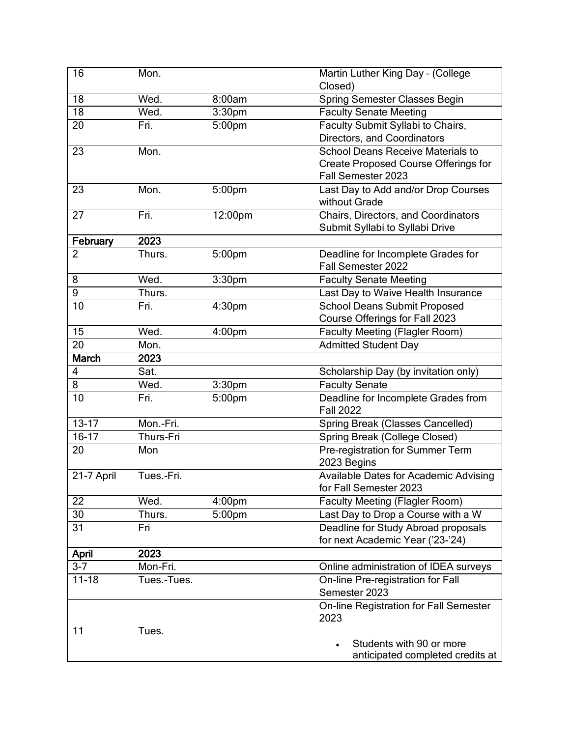| 16             | Mon.        |                    | Martin Luther King Day - (College<br>Closed)                            |
|----------------|-------------|--------------------|-------------------------------------------------------------------------|
| 18             | Wed.        | 8:00am             | <b>Spring Semester Classes Begin</b>                                    |
| 18             | Wed.        | 3:30 <sub>pm</sub> | <b>Faculty Senate Meeting</b>                                           |
| 20             | Fri.        | 5:00pm             | Faculty Submit Syllabi to Chairs,                                       |
|                |             |                    | Directors, and Coordinators                                             |
| 23             | Mon.        |                    | <b>School Deans Receive Materials to</b>                                |
|                |             |                    | <b>Create Proposed Course Offerings for</b>                             |
|                |             |                    | Fall Semester 2023                                                      |
| 23             | Mon.        | 5:00pm             | Last Day to Add and/or Drop Courses                                     |
|                |             |                    | without Grade                                                           |
| 27             | Fri.        | 12:00pm            | Chairs, Directors, and Coordinators                                     |
|                |             |                    | Submit Syllabi to Syllabi Drive                                         |
| February       | 2023        |                    |                                                                         |
| $\overline{2}$ | Thurs.      | 5:00pm             | Deadline for Incomplete Grades for<br>Fall Semester 2022                |
| 8              | Wed.        | 3:30 <sub>pm</sub> | <b>Faculty Senate Meeting</b>                                           |
| $\overline{9}$ | Thurs.      |                    | Last Day to Waive Health Insurance                                      |
| 10             | Fri.        | 4:30pm             | <b>School Deans Submit Proposed</b>                                     |
|                |             |                    | Course Offerings for Fall 2023                                          |
| 15             | Wed.        | 4:00pm             | <b>Faculty Meeting (Flagler Room)</b>                                   |
| 20             | Mon.        |                    | <b>Admitted Student Day</b>                                             |
| <b>March</b>   | 2023        |                    |                                                                         |
| 4              | Sat.        |                    | Scholarship Day (by invitation only)                                    |
| 8              | Wed.        | 3:30 <sub>pm</sub> | <b>Faculty Senate</b>                                                   |
| 10             | Fri.        | 5:00pm             | Deadline for Incomplete Grades from                                     |
|                |             |                    | <b>Fall 2022</b>                                                        |
| $13 - 17$      | Mon.-Fri.   |                    | Spring Break (Classes Cancelled)                                        |
| $16-17$        | Thurs-Fri   |                    | Spring Break (College Closed)                                           |
| 20             | Mon         |                    | Pre-registration for Summer Term<br>2023 Begins                         |
| 21-7 April     | Tues.-Fri.  |                    | <b>Available Dates for Academic Advising</b>                            |
|                |             |                    | for Fall Semester 2023                                                  |
| 22             | Wed.        | 4:00 <sub>pm</sub> | <b>Faculty Meeting (Flagler Room)</b>                                   |
| 30             | Thurs.      | 5:00pm             | Last Day to Drop a Course with a W                                      |
| 31             | Fri         |                    | Deadline for Study Abroad proposals<br>for next Academic Year ('23-'24) |
| April          | 2023        |                    |                                                                         |
| $3-7$          | Mon-Fri.    |                    | Online administration of IDEA surveys                                   |
| $11 - 18$      | Tues.-Tues. |                    | On-line Pre-registration for Fall                                       |
|                |             |                    | Semester 2023                                                           |
|                |             |                    | On-line Registration for Fall Semester                                  |
|                |             |                    | 2023                                                                    |
| 11             | Tues.       |                    |                                                                         |
|                |             |                    | Students with 90 or more<br>anticipated completed credits at            |
|                |             |                    |                                                                         |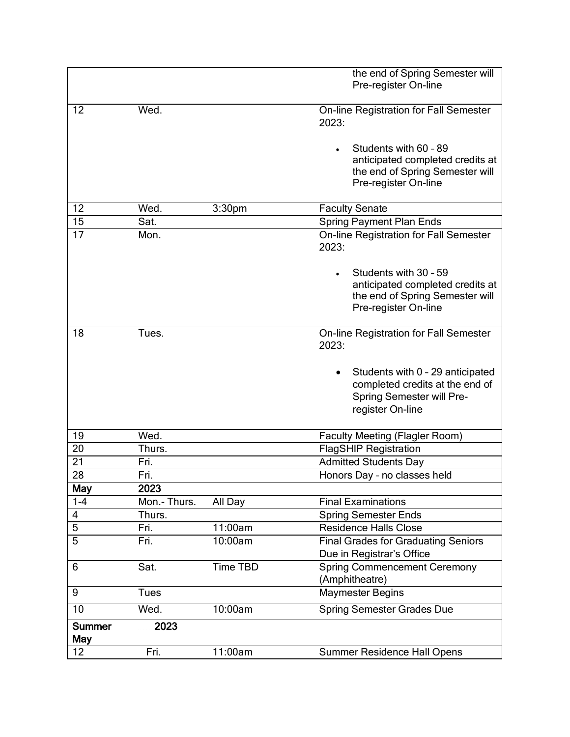|                             |              |                    | the end of Spring Semester will<br>Pre-register On-line                                                              |
|-----------------------------|--------------|--------------------|----------------------------------------------------------------------------------------------------------------------|
| 12                          | Wed.         |                    | On-line Registration for Fall Semester<br>2023:                                                                      |
|                             |              |                    | Students with 60 - 89<br>anticipated completed credits at<br>the end of Spring Semester will<br>Pre-register On-line |
| 12                          | Wed.         | 3:30 <sub>pm</sub> | <b>Faculty Senate</b>                                                                                                |
| 15                          | Sat.         |                    | <b>Spring Payment Plan Ends</b>                                                                                      |
| 17                          | Mon.         |                    | On-line Registration for Fall Semester<br>2023:                                                                      |
|                             |              |                    | Students with 30 - 59<br>anticipated completed credits at<br>the end of Spring Semester will<br>Pre-register On-line |
| 18                          | Tues.        |                    | On-line Registration for Fall Semester<br>2023:                                                                      |
|                             |              |                    | Students with 0 - 29 anticipated<br>completed credits at the end of<br>Spring Semester will Pre-<br>register On-line |
| 19                          | Wed.         |                    | <b>Faculty Meeting (Flagler Room)</b>                                                                                |
| 20                          | Thurs.       |                    | <b>FlagSHIP Registration</b>                                                                                         |
| 21                          | Fri.         |                    | <b>Admitted Students Day</b>                                                                                         |
| 28                          | Fri.         |                    | Honors Day - no classes held                                                                                         |
| May                         | 2023         |                    |                                                                                                                      |
| $1 - 4$                     | Mon.- Thurs. | All Day            | <b>Final Examinations</b>                                                                                            |
| 4                           | Thurs.       |                    | <b>Spring Semester Ends</b>                                                                                          |
| 5                           | Fri.         | 11:00am            | <b>Residence Halls Close</b>                                                                                         |
| $\overline{5}$              | Fri.         | 10:00am            | <b>Final Grades for Graduating Seniors</b><br>Due in Registrar's Office                                              |
| 6                           | Sat.         | <b>Time TBD</b>    | <b>Spring Commencement Ceremony</b><br>(Amphitheatre)                                                                |
| 9                           | <b>Tues</b>  |                    | <b>Maymester Begins</b>                                                                                              |
| 10                          | Wed.         | 10:00am            | <b>Spring Semester Grades Due</b>                                                                                    |
| <b>Summer</b><br><b>May</b> | 2023         |                    |                                                                                                                      |
| 12                          | Fri.         | 11:00am            | <b>Summer Residence Hall Opens</b>                                                                                   |